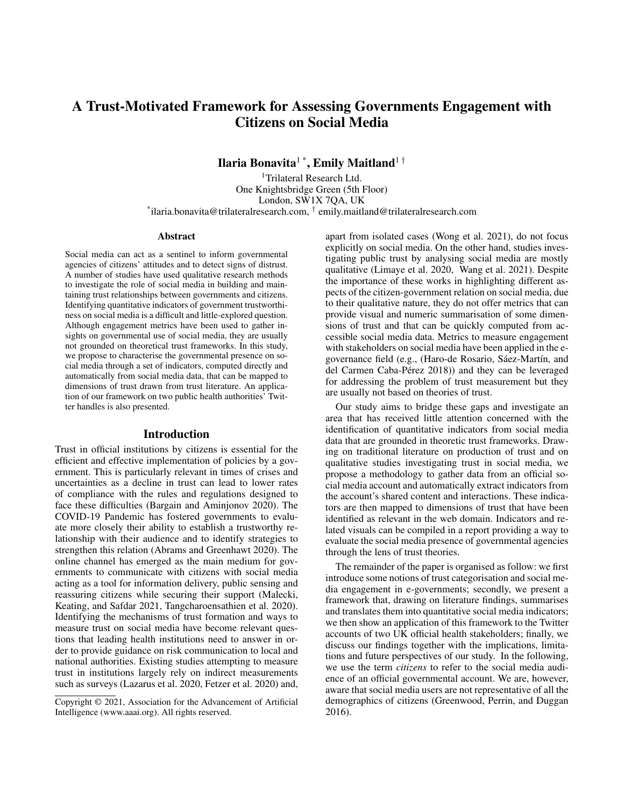# A Trust-Motivated Framework for Assessing Governments Engagement with Citizens on Social Media

Ilaria Bonavita<sup>1</sup>\*, Emily Maitland<sup>1†</sup>

<sup>1</sup>Trilateral Research Ltd. One Knightsbridge Green (5th Floor) London, SW1X 7QA, UK \* ilaria.bonavita@trilateralresearch.com, † emily.maitland@trilateralresearch.com

#### Abstract

Social media can act as a sentinel to inform governmental agencies of citizens' attitudes and to detect signs of distrust. A number of studies have used qualitative research methods to investigate the role of social media in building and maintaining trust relationships between governments and citizens. Identifying quantitative indicators of government trustworthiness on social media is a difficult and little-explored question. Although engagement metrics have been used to gather insights on governmental use of social media, they are usually not grounded on theoretical trust frameworks. In this study, we propose to characterise the governmental presence on social media through a set of indicators, computed directly and automatically from social media data, that can be mapped to dimensions of trust drawn from trust literature. An application of our framework on two public health authorities' Twitter handles is also presented.

### Introduction

Trust in official institutions by citizens is essential for the efficient and effective implementation of policies by a government. This is particularly relevant in times of crises and uncertainties as a decline in trust can lead to lower rates of compliance with the rules and regulations designed to face these difficulties (Bargain and Aminjonov 2020). The COVID-19 Pandemic has fostered governments to evaluate more closely their ability to establish a trustworthy relationship with their audience and to identify strategies to strengthen this relation (Abrams and Greenhawt 2020). The online channel has emerged as the main medium for governments to communicate with citizens with social media acting as a tool for information delivery, public sensing and reassuring citizens while securing their support (Malecki, Keating, and Safdar 2021, Tangcharoensathien et al. 2020). Identifying the mechanisms of trust formation and ways to measure trust on social media have become relevant questions that leading health institutions need to answer in order to provide guidance on risk communication to local and national authorities. Existing studies attempting to measure trust in institutions largely rely on indirect measurements such as surveys (Lazarus et al. 2020, Fetzer et al. 2020) and,

apart from isolated cases (Wong et al. 2021), do not focus explicitly on social media. On the other hand, studies investigating public trust by analysing social media are mostly qualitative (Limaye et al. 2020, Wang et al. 2021). Despite the importance of these works in highlighting different aspects of the citizen-government relation on social media, due to their qualitative nature, they do not offer metrics that can provide visual and numeric summarisation of some dimensions of trust and that can be quickly computed from accessible social media data. Metrics to measure engagement with stakeholders on social media have been applied in the egovernance field (e.g., (Haro-de Rosario, Sáez-Martín, and del Carmen Caba-Pérez 2018)) and they can be leveraged for addressing the problem of trust measurement but they are usually not based on theories of trust.

Our study aims to bridge these gaps and investigate an area that has received little attention concerned with the identification of quantitative indicators from social media data that are grounded in theoretic trust frameworks. Drawing on traditional literature on production of trust and on qualitative studies investigating trust in social media, we propose a methodology to gather data from an official social media account and automatically extract indicators from the account's shared content and interactions. These indicators are then mapped to dimensions of trust that have been identified as relevant in the web domain. Indicators and related visuals can be compiled in a report providing a way to evaluate the social media presence of governmental agencies through the lens of trust theories.

The remainder of the paper is organised as follow: we first introduce some notions of trust categorisation and social media engagement in e-governments; secondly, we present a framework that, drawing on literature findings, summarises and translates them into quantitative social media indicators; we then show an application of this framework to the Twitter accounts of two UK official health stakeholders; finally, we discuss our findings together with the implications, limitations and future perspectives of our study. In the following, we use the term *citizens* to refer to the social media audience of an official governmental account. We are, however, aware that social media users are not representative of all the demographics of citizens (Greenwood, Perrin, and Duggan 2016).

Copyright © 2021, Association for the Advancement of Artificial Intelligence (www.aaai.org). All rights reserved.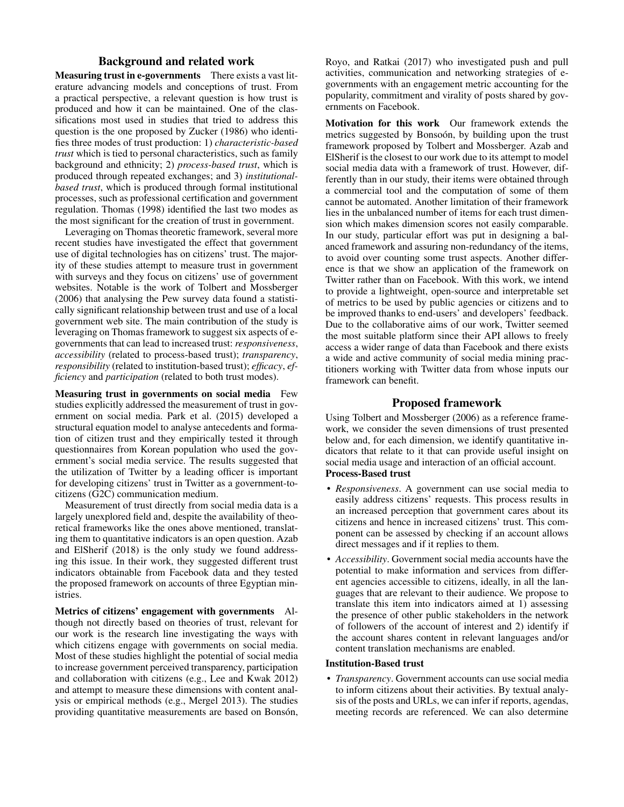# Background and related work

Measuring trust in e-governments There exists a vast literature advancing models and conceptions of trust. From a practical perspective, a relevant question is how trust is produced and how it can be maintained. One of the classifications most used in studies that tried to address this question is the one proposed by Zucker (1986) who identifies three modes of trust production: 1) *characteristic-based trust* which is tied to personal characteristics, such as family background and ethnicity; 2) *process-based trust*, which is produced through repeated exchanges; and 3) *institutionalbased trust*, which is produced through formal institutional processes, such as professional certification and government regulation. Thomas (1998) identified the last two modes as the most significant for the creation of trust in government.

Leveraging on Thomas theoretic framework, several more recent studies have investigated the effect that government use of digital technologies has on citizens' trust. The majority of these studies attempt to measure trust in government with surveys and they focus on citizens' use of government websites. Notable is the work of Tolbert and Mossberger (2006) that analysing the Pew survey data found a statistically significant relationship between trust and use of a local government web site. The main contribution of the study is leveraging on Thomas framework to suggest six aspects of egovernments that can lead to increased trust: *responsiveness*, *accessibility* (related to process-based trust); *transparency*, *responsibility* (related to institution-based trust); *efficacy*, *efficiency* and *participation* (related to both trust modes).

Measuring trust in governments on social media Few studies explicitly addressed the measurement of trust in government on social media. Park et al. (2015) developed a structural equation model to analyse antecedents and formation of citizen trust and they empirically tested it through questionnaires from Korean population who used the government's social media service. The results suggested that the utilization of Twitter by a leading officer is important for developing citizens' trust in Twitter as a government-tocitizens (G2C) communication medium.

Measurement of trust directly from social media data is a largely unexplored field and, despite the availability of theoretical frameworks like the ones above mentioned, translating them to quantitative indicators is an open question. Azab and ElSherif (2018) is the only study we found addressing this issue. In their work, they suggested different trust indicators obtainable from Facebook data and they tested the proposed framework on accounts of three Egyptian ministries.

Metrics of citizens' engagement with governments Although not directly based on theories of trust, relevant for our work is the research line investigating the ways with which citizens engage with governments on social media. Most of these studies highlight the potential of social media to increase government perceived transparency, participation and collaboration with citizens (e.g., Lee and Kwak 2012) and attempt to measure these dimensions with content analysis or empirical methods (e.g., Mergel 2013). The studies providing quantitative measurements are based on Bonsón, Royo, and Ratkai (2017) who investigated push and pull activities, communication and networking strategies of egovernments with an engagement metric accounting for the popularity, commitment and virality of posts shared by governments on Facebook.

Motivation for this work Our framework extends the metrics suggested by Bonsoón, by building upon the trust framework proposed by Tolbert and Mossberger. Azab and ElSherif is the closest to our work due to its attempt to model social media data with a framework of trust. However, differently than in our study, their items were obtained through a commercial tool and the computation of some of them cannot be automated. Another limitation of their framework lies in the unbalanced number of items for each trust dimension which makes dimension scores not easily comparable. In our study, particular effort was put in designing a balanced framework and assuring non-redundancy of the items, to avoid over counting some trust aspects. Another difference is that we show an application of the framework on Twitter rather than on Facebook. With this work, we intend to provide a lightweight, open-source and interpretable set of metrics to be used by public agencies or citizens and to be improved thanks to end-users' and developers' feedback. Due to the collaborative aims of our work, Twitter seemed the most suitable platform since their API allows to freely access a wider range of data than Facebook and there exists a wide and active community of social media mining practitioners working with Twitter data from whose inputs our framework can benefit.

# Proposed framework

Using Tolbert and Mossberger (2006) as a reference framework, we consider the seven dimensions of trust presented below and, for each dimension, we identify quantitative indicators that relate to it that can provide useful insight on social media usage and interaction of an official account. Process-Based trust

- *Responsiveness*. A government can use social media to easily address citizens' requests. This process results in an increased perception that government cares about its citizens and hence in increased citizens' trust. This component can be assessed by checking if an account allows direct messages and if it replies to them.
- *Accessibility*. Government social media accounts have the potential to make information and services from different agencies accessible to citizens, ideally, in all the languages that are relevant to their audience. We propose to translate this item into indicators aimed at 1) assessing the presence of other public stakeholders in the network of followers of the account of interest and 2) identify if the account shares content in relevant languages and/or content translation mechanisms are enabled.

#### Institution-Based trust

• *Transparency*. Government accounts can use social media to inform citizens about their activities. By textual analysis of the posts and URLs, we can infer if reports, agendas, meeting records are referenced. We can also determine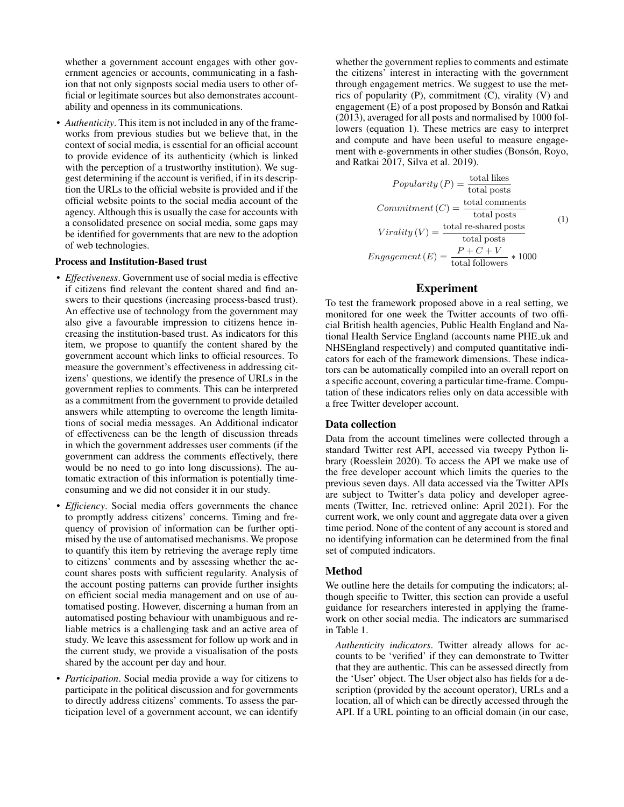whether a government account engages with other government agencies or accounts, communicating in a fashion that not only signposts social media users to other official or legitimate sources but also demonstrates accountability and openness in its communications.

• *Authenticity*. This item is not included in any of the frameworks from previous studies but we believe that, in the context of social media, is essential for an official account to provide evidence of its authenticity (which is linked with the perception of a trustworthy institution). We suggest determining if the account is verified, if in its description the URLs to the official website is provided and if the official website points to the social media account of the agency. Although this is usually the case for accounts with a consolidated presence on social media, some gaps may be identified for governments that are new to the adoption of web technologies.

#### Process and Institution-Based trust

- *Effectiveness*. Government use of social media is effective if citizens find relevant the content shared and find answers to their questions (increasing process-based trust). An effective use of technology from the government may also give a favourable impression to citizens hence increasing the institution-based trust. As indicators for this item, we propose to quantify the content shared by the government account which links to official resources. To measure the government's effectiveness in addressing citizens' questions, we identify the presence of URLs in the government replies to comments. This can be interpreted as a commitment from the government to provide detailed answers while attempting to overcome the length limitations of social media messages. An Additional indicator of effectiveness can be the length of discussion threads in which the government addresses user comments (if the government can address the comments effectively, there would be no need to go into long discussions). The automatic extraction of this information is potentially timeconsuming and we did not consider it in our study.
- *Efficiency*. Social media offers governments the chance to promptly address citizens' concerns. Timing and frequency of provision of information can be further optimised by the use of automatised mechanisms. We propose to quantify this item by retrieving the average reply time to citizens' comments and by assessing whether the account shares posts with sufficient regularity. Analysis of the account posting patterns can provide further insights on efficient social media management and on use of automatised posting. However, discerning a human from an automatised posting behaviour with unambiguous and reliable metrics is a challenging task and an active area of study. We leave this assessment for follow up work and in the current study, we provide a visualisation of the posts shared by the account per day and hour.
- *Participation*. Social media provide a way for citizens to participate in the political discussion and for governments to directly address citizens' comments. To assess the participation level of a government account, we can identify

whether the government replies to comments and estimate the citizens' interest in interacting with the government through engagement metrics. We suggest to use the metrics of popularity (P), commitment (C), virality (V) and engagement (E) of a post proposed by Bonsón and Ratkai (2013), averaged for all posts and normalised by 1000 followers (equation 1). These metrics are easy to interpret and compute and have been useful to measure engagement with e-governments in other studies (Bonsón, Royo, and Ratkai 2017, Silva et al. 2019).

\n
$$
Popularity(P) = \frac{\text{total likes}}{\text{total posts}}
$$
\n

\n\n
$$
Committment(C) = \frac{\text{total comments}}{\text{total posts}}
$$
\n

\n\n
$$
Virality(V) = \frac{\text{total re-shared posts}}{\text{total posts}}
$$
\n

\n\n
$$
Engagement(E) = \frac{P + C + V}{\text{total follows}} * 1000
$$
\n

# Experiment

To test the framework proposed above in a real setting, we monitored for one week the Twitter accounts of two official British health agencies, Public Health England and National Health Service England (accounts name PHE uk and NHSEngland respectively) and computed quantitative indicators for each of the framework dimensions. These indicators can be automatically compiled into an overall report on a specific account, covering a particular time-frame. Computation of these indicators relies only on data accessible with a free Twitter developer account.

### Data collection

Data from the account timelines were collected through a standard Twitter rest API, accessed via tweepy Python library (Roesslein 2020). To access the API we make use of the free developer account which limits the queries to the previous seven days. All data accessed via the Twitter APIs are subject to Twitter's data policy and developer agreements (Twitter, Inc. retrieved online: April 2021). For the current work, we only count and aggregate data over a given time period. None of the content of any account is stored and no identifying information can be determined from the final set of computed indicators.

## Method

We outline here the details for computing the indicators; although specific to Twitter, this section can provide a useful guidance for researchers interested in applying the framework on other social media. The indicators are summarised in Table 1.

*Authenticity indicators*. Twitter already allows for accounts to be 'verified' if they can demonstrate to Twitter that they are authentic. This can be assessed directly from the 'User' object. The User object also has fields for a description (provided by the account operator), URLs and a location, all of which can be directly accessed through the API. If a URL pointing to an official domain (in our case,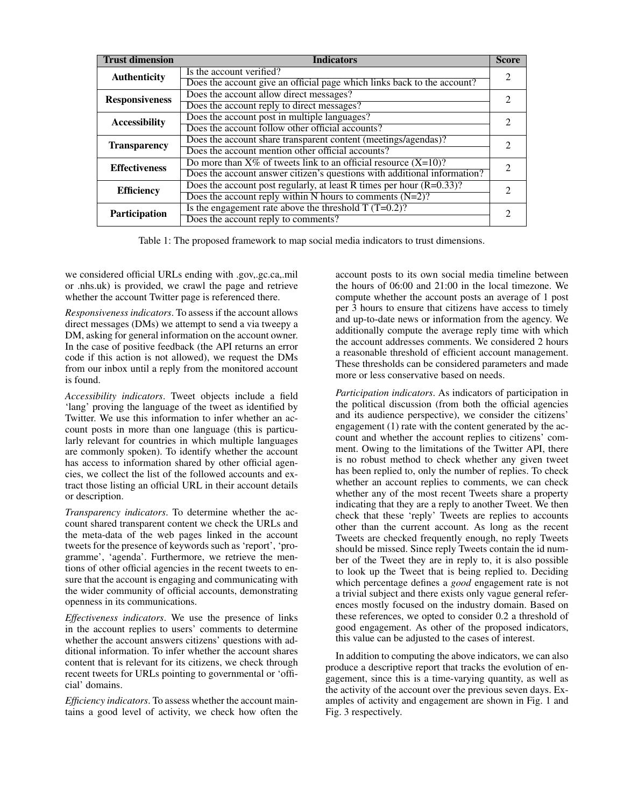| <b>Trust dimension</b> | <b>Indicators</b>                                                        | <b>Score</b> |
|------------------------|--------------------------------------------------------------------------|--------------|
| <b>Authenticity</b>    | Is the account verified?                                                 | っ            |
|                        | Does the account give an official page which links back to the account?  |              |
| <b>Responsiveness</b>  | Does the account allow direct messages?                                  | 2            |
|                        | Does the account reply to direct messages?                               |              |
| <b>Accessibility</b>   | Does the account post in multiple languages?                             | 2            |
|                        | Does the account follow other official accounts?                         |              |
| <b>Transparency</b>    | Does the account share transparent content (meetings/agendas)?           | 2            |
|                        | Does the account mention other official accounts?                        |              |
| <b>Effectiveness</b>   | Do more than $X\%$ of tweets link to an official resource $(X=10)$ ?     | 2            |
|                        | Does the account answer citizen's questions with additional information? |              |
| <b>Efficiency</b>      | Does the account post regularly, at least R times per hour $(R=0.33)$ ?  | っ            |
|                        | Does the account reply within N hours to comments $(N=2)$ ?              |              |
| <b>Participation</b>   | Is the engagement rate above the threshold $T(T=0.2)$ ?                  |              |
|                        | Does the account reply to comments?                                      |              |

Table 1: The proposed framework to map social media indicators to trust dimensions.

we considered official URLs ending with .gov,.gc.ca,.mil or .nhs.uk) is provided, we crawl the page and retrieve whether the account Twitter page is referenced there.

*Responsiveness indicators*. To assess if the account allows direct messages (DMs) we attempt to send a via tweepy a DM, asking for general information on the account owner. In the case of positive feedback (the API returns an error code if this action is not allowed), we request the DMs from our inbox until a reply from the monitored account is found.

*Accessibility indicators*. Tweet objects include a field 'lang' proving the language of the tweet as identified by Twitter. We use this information to infer whether an account posts in more than one language (this is particularly relevant for countries in which multiple languages are commonly spoken). To identify whether the account has access to information shared by other official agencies, we collect the list of the followed accounts and extract those listing an official URL in their account details or description.

*Transparency indicators*. To determine whether the account shared transparent content we check the URLs and the meta-data of the web pages linked in the account tweets for the presence of keywords such as 'report', 'programme', 'agenda'. Furthermore, we retrieve the mentions of other official agencies in the recent tweets to ensure that the account is engaging and communicating with the wider community of official accounts, demonstrating openness in its communications.

*Effectiveness indicators*. We use the presence of links in the account replies to users' comments to determine whether the account answers citizens' questions with additional information. To infer whether the account shares content that is relevant for its citizens, we check through recent tweets for URLs pointing to governmental or 'official' domains.

*Efficiency indicators*. To assess whether the account maintains a good level of activity, we check how often the account posts to its own social media timeline between the hours of 06:00 and 21:00 in the local timezone. We compute whether the account posts an average of 1 post per 3 hours to ensure that citizens have access to timely and up-to-date news or information from the agency. We additionally compute the average reply time with which the account addresses comments. We considered 2 hours a reasonable threshold of efficient account management. These thresholds can be considered parameters and made more or less conservative based on needs.

*Participation indicators*. As indicators of participation in the political discussion (from both the official agencies and its audience perspective), we consider the citizens' engagement (1) rate with the content generated by the account and whether the account replies to citizens' comment. Owing to the limitations of the Twitter API, there is no robust method to check whether any given tweet has been replied to, only the number of replies. To check whether an account replies to comments, we can check whether any of the most recent Tweets share a property indicating that they are a reply to another Tweet. We then check that these 'reply' Tweets are replies to accounts other than the current account. As long as the recent Tweets are checked frequently enough, no reply Tweets should be missed. Since reply Tweets contain the id number of the Tweet they are in reply to, it is also possible to look up the Tweet that is being replied to. Deciding which percentage defines a *good* engagement rate is not a trivial subject and there exists only vague general references mostly focused on the industry domain. Based on these references, we opted to consider 0.2 a threshold of good engagement. As other of the proposed indicators, this value can be adjusted to the cases of interest.

In addition to computing the above indicators, we can also produce a descriptive report that tracks the evolution of engagement, since this is a time-varying quantity, as well as the activity of the account over the previous seven days. Examples of activity and engagement are shown in Fig. 1 and Fig. 3 respectively.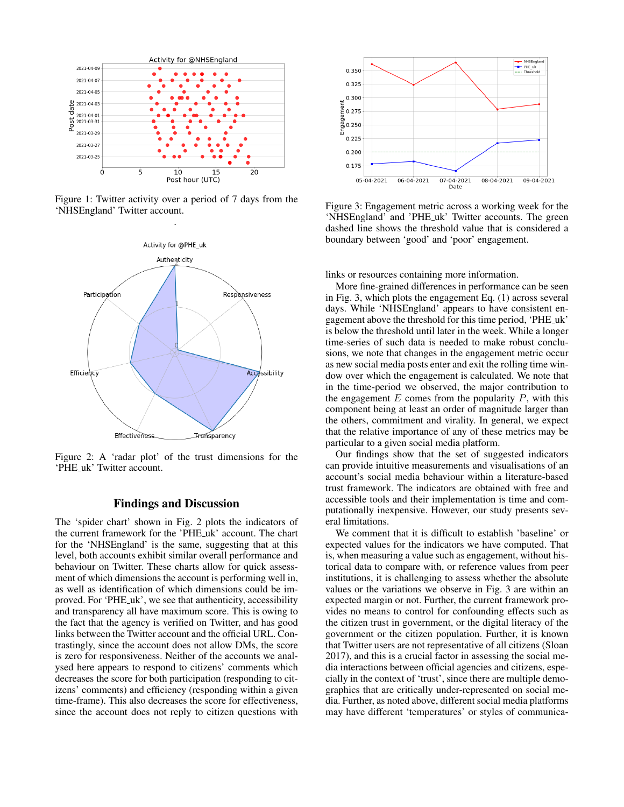

Figure 1: Twitter activity over a period of 7 days from the 'NHSEngland' Twitter account.



Figure 2: A 'radar plot' of the trust dimensions for the 'PHE uk' Twitter account.

# Findings and Discussion

The 'spider chart' shown in Fig. 2 plots the indicators of the current framework for the 'PHE uk' account. The chart for the 'NHSEngland' is the same, suggesting that at this level, both accounts exhibit similar overall performance and behaviour on Twitter. These charts allow for quick assessment of which dimensions the account is performing well in, as well as identification of which dimensions could be improved. For 'PHE uk', we see that authenticity, accessibility and transparency all have maximum score. This is owing to the fact that the agency is verified on Twitter, and has good links between the Twitter account and the official URL. Contrastingly, since the account does not allow DMs, the score is zero for responsiveness. Neither of the accounts we analysed here appears to respond to citizens' comments which decreases the score for both participation (responding to citizens' comments) and efficiency (responding within a given time-frame). This also decreases the score for effectiveness, since the account does not reply to citizen questions with



Figure 3: Engagement metric across a working week for the 'NHSEngland' and 'PHE uk' Twitter accounts. The green dashed line shows the threshold value that is considered a boundary between 'good' and 'poor' engagement.

links or resources containing more information.

More fine-grained differences in performance can be seen in Fig. 3, which plots the engagement Eq. (1) across several days. While 'NHSEngland' appears to have consistent engagement above the threshold for this time period, 'PHE uk' is below the threshold until later in the week. While a longer time-series of such data is needed to make robust conclusions, we note that changes in the engagement metric occur as new social media posts enter and exit the rolling time window over which the engagement is calculated. We note that in the time-period we observed, the major contribution to the engagement  $E$  comes from the popularity  $P$ , with this component being at least an order of magnitude larger than the others, commitment and virality. In general, we expect that the relative importance of any of these metrics may be particular to a given social media platform.

Our findings show that the set of suggested indicators can provide intuitive measurements and visualisations of an account's social media behaviour within a literature-based trust framework. The indicators are obtained with free and accessible tools and their implementation is time and computationally inexpensive. However, our study presents several limitations.

We comment that it is difficult to establish 'baseline' or expected values for the indicators we have computed. That is, when measuring a value such as engagement, without historical data to compare with, or reference values from peer institutions, it is challenging to assess whether the absolute values or the variations we observe in Fig. 3 are within an expected margin or not. Further, the current framework provides no means to control for confounding effects such as the citizen trust in government, or the digital literacy of the government or the citizen population. Further, it is known that Twitter users are not representative of all citizens (Sloan 2017), and this is a crucial factor in assessing the social media interactions between official agencies and citizens, especially in the context of 'trust', since there are multiple demographics that are critically under-represented on social media. Further, as noted above, different social media platforms may have different 'temperatures' or styles of communica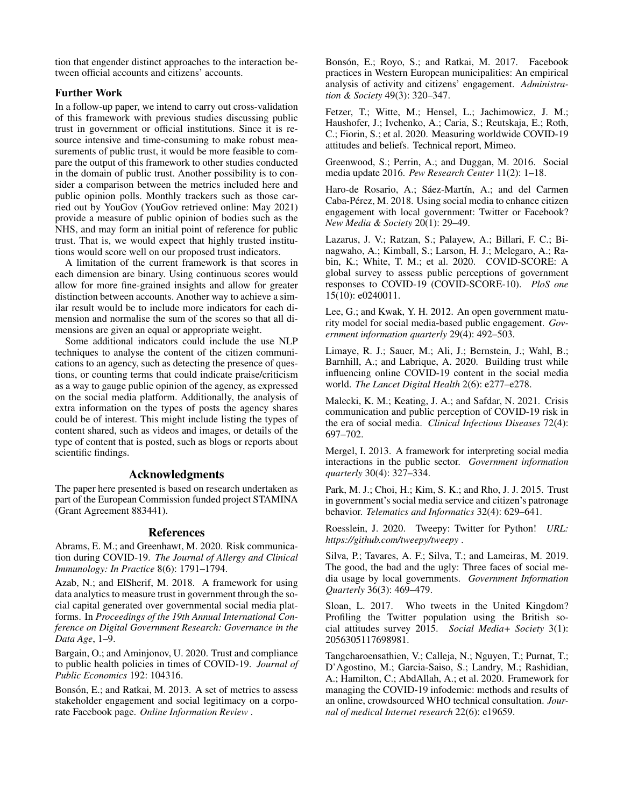tion that engender distinct approaches to the interaction between official accounts and citizens' accounts.

# Further Work

In a follow-up paper, we intend to carry out cross-validation of this framework with previous studies discussing public trust in government or official institutions. Since it is resource intensive and time-consuming to make robust measurements of public trust, it would be more feasible to compare the output of this framework to other studies conducted in the domain of public trust. Another possibility is to consider a comparison between the metrics included here and public opinion polls. Monthly trackers such as those carried out by YouGov (YouGov retrieved online: May 2021) provide a measure of public opinion of bodies such as the NHS, and may form an initial point of reference for public trust. That is, we would expect that highly trusted institutions would score well on our proposed trust indicators.

A limitation of the current framework is that scores in each dimension are binary. Using continuous scores would allow for more fine-grained insights and allow for greater distinction between accounts. Another way to achieve a similar result would be to include more indicators for each dimension and normalise the sum of the scores so that all dimensions are given an equal or appropriate weight.

Some additional indicators could include the use NLP techniques to analyse the content of the citizen communications to an agency, such as detecting the presence of questions, or counting terms that could indicate praise/criticism as a way to gauge public opinion of the agency, as expressed on the social media platform. Additionally, the analysis of extra information on the types of posts the agency shares could be of interest. This might include listing the types of content shared, such as videos and images, or details of the type of content that is posted, such as blogs or reports about scientific findings.

# Acknowledgments

The paper here presented is based on research undertaken as part of the European Commission funded project STAMINA (Grant Agreement 883441).

## References

Abrams, E. M.; and Greenhawt, M. 2020. Risk communication during COVID-19. *The Journal of Allergy and Clinical Immunology: In Practice* 8(6): 1791–1794.

Azab, N.; and ElSherif, M. 2018. A framework for using data analytics to measure trust in government through the social capital generated over governmental social media platforms. In *Proceedings of the 19th Annual International Conference on Digital Government Research: Governance in the Data Age*, 1–9.

Bargain, O.; and Aminjonov, U. 2020. Trust and compliance to public health policies in times of COVID-19. *Journal of Public Economics* 192: 104316.

Bonsón, E.; and Ratkai, M. 2013. A set of metrics to assess stakeholder engagement and social legitimacy on a corporate Facebook page. *Online Information Review* .

Bonsón, E.; Royo, S.; and Ratkai, M. 2017. Facebook practices in Western European municipalities: An empirical analysis of activity and citizens' engagement. *Administration & Society* 49(3): 320–347.

Fetzer, T.; Witte, M.; Hensel, L.; Jachimowicz, J. M.; Haushofer, J.; Ivchenko, A.; Caria, S.; Reutskaja, E.; Roth, C.; Fiorin, S.; et al. 2020. Measuring worldwide COVID-19 attitudes and beliefs. Technical report, Mimeo.

Greenwood, S.; Perrin, A.; and Duggan, M. 2016. Social media update 2016. *Pew Research Center* 11(2): 1–18.

Haro-de Rosario, A.; Sáez-Martín, A.; and del Carmen Caba-Perez, M. 2018. Using social media to enhance citizen ´ engagement with local government: Twitter or Facebook? *New Media & Society* 20(1): 29–49.

Lazarus, J. V.; Ratzan, S.; Palayew, A.; Billari, F. C.; Binagwaho, A.; Kimball, S.; Larson, H. J.; Melegaro, A.; Rabin, K.; White, T. M.; et al. 2020. COVID-SCORE: A global survey to assess public perceptions of government responses to COVID-19 (COVID-SCORE-10). *PloS one* 15(10): e0240011.

Lee, G.; and Kwak, Y. H. 2012. An open government maturity model for social media-based public engagement. *Government information quarterly* 29(4): 492–503.

Limaye, R. J.; Sauer, M.; Ali, J.; Bernstein, J.; Wahl, B.; Barnhill, A.; and Labrique, A. 2020. Building trust while influencing online COVID-19 content in the social media world. *The Lancet Digital Health* 2(6): e277–e278.

Malecki, K. M.; Keating, J. A.; and Safdar, N. 2021. Crisis communication and public perception of COVID-19 risk in the era of social media. *Clinical Infectious Diseases* 72(4): 697–702.

Mergel, I. 2013. A framework for interpreting social media interactions in the public sector. *Government information quarterly* 30(4): 327–334.

Park, M. J.; Choi, H.; Kim, S. K.; and Rho, J. J. 2015. Trust in government's social media service and citizen's patronage behavior. *Telematics and Informatics* 32(4): 629–641.

Roesslein, J. 2020. Tweepy: Twitter for Python! *URL: https://github.com/tweepy/tweepy* .

Silva, P.; Tavares, A. F.; Silva, T.; and Lameiras, M. 2019. The good, the bad and the ugly: Three faces of social media usage by local governments. *Government Information Quarterly* 36(3): 469–479.

Sloan, L. 2017. Who tweets in the United Kingdom? Profiling the Twitter population using the British social attitudes survey 2015. *Social Media+ Society* 3(1): 2056305117698981.

Tangcharoensathien, V.; Calleja, N.; Nguyen, T.; Purnat, T.; D'Agostino, M.; Garcia-Saiso, S.; Landry, M.; Rashidian, A.; Hamilton, C.; AbdAllah, A.; et al. 2020. Framework for managing the COVID-19 infodemic: methods and results of an online, crowdsourced WHO technical consultation. *Journal of medical Internet research* 22(6): e19659.